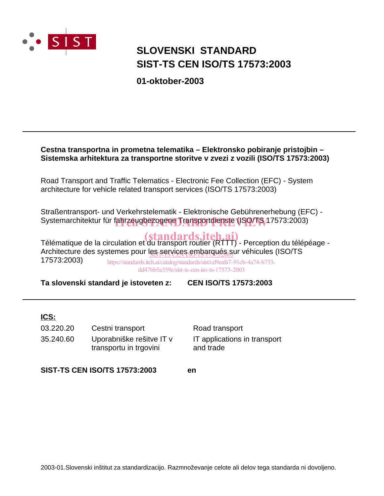

# **SIST-TS CEN ISO/TS 17573:2003 SLOVENSKI STANDARD**

**01-oktober-2003**

# **Cestna transportna in prometna telematika – Elektronsko pobiranje pristojbin – Sistemska arhitektura za transportne storitve v zvezi z vozili (ISO/TS 17573:2003)**

Road Transport and Traffic Telematics - Electronic Fee Collection (EFC) - System architecture for vehicle related transport services (ISO/TS 17573:2003)

Straßentransport- und Verkehrstelematik - Elektronische Gebührenerhebung (EFC) - Systemarchitektur für fahrzeugbezogene Transportdienste (ISO/TS 17573:2003)

Télématique de la circulation et du transport routier (RTTT) - Perception du télépéage -Architecture des systemes pour l<u>es services embarqués s</u>ur véhicules (ISO/TS )<br>17579-0000) 17573:2003)

https://standards.iteh.ai/catalog/standards/sist/cd9eafa7-91cb-4a74-b733 dd476b5a359e/sist-ts-cen-iso-ts-17573-2003

**Ta slovenski standard je istoveten z: CEN ISO/TS 17573:2003**

# **ICS:**

| 03.220.20 | Cestni transport                                   | Road transport                            |
|-----------|----------------------------------------------------|-------------------------------------------|
| 35.240.60 | Uporabniške rešitve IT v<br>transportu in trgovini | IT applications in transport<br>and trade |

**SIST-TS CEN ISO/TS 17573:2003 en**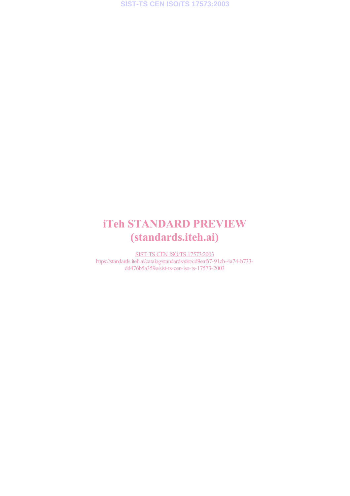# iTeh STANDARD PREVIEW (standards.iteh.ai)

SIST-TS CEN ISO/TS 17573:2003 https://standards.iteh.ai/catalog/standards/sist/cd9eafa7-91cb-4a74-b733 dd476b5a359e/sist-ts-cen-iso-ts-17573-2003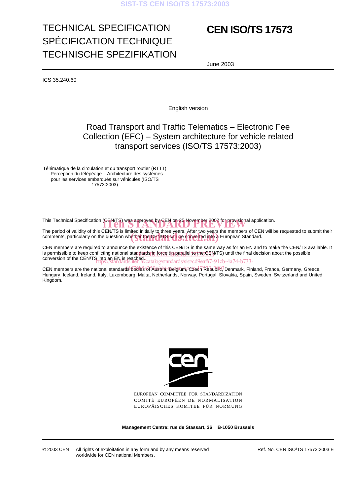# **SIST-TS CEN ISO/TS 17573:2003**

# TECHNICAL SPECIFICATION SPÉCIFICATION TECHNIQUE TECHNISCHE SPEZIFIKATION

# **CEN ISO/TS 17573**

June 2003

ICS 35.240.60

English version

# Road Transport and Traffic Telematics – Electronic Fee Collection (EFC) – System architecture for vehicle related transport services (ISO/TS 17573:2003)

Télématique de la circulation et du transport routier (RTTT) – Perception du télépéage – Architecture des systèmes pour les services embarqués sur véhicules (ISO/TS 17573:2003)

This Technical Specification (CEN/TS) was approved by CEN on 25 November 2002 for provisional application.<br>The second of cell illustrative CEN/TO is limited in the limit of the second of feedback and the manufacture of CEN

The period of validity of this CEN/TS is limited initially to three years. After two years the members of CEN will be requested to submit their The period of validity of this CEN/TS is limited initially to three years. After two years the members of CEN<br>comments, particularly on the question whether the CEN/TS can be converted into a European Standard.

CEN members are required to announce the existence of this CEN/TS in the same way as for an EN and to make the CEN/TS available. It is permissible to keep conflicting national standards in force (in parallel to the CEN/TS) until the final decision about the possible conversion of the CEN/TS into an EN is reached. atalog/standards/sist/cd9eafa7-91cb-4a74-b733-

CEN members are the national standards bodiesିରfିAustria, Betgïum,Cczech Republic, Denmark, Finland, France, Germany, Greece, Hungary, Iceland, Ireland, Italy, Luxembourg, Malta, Netherlands, Norway, Portugal, Slovakia, Spain, Sweden, Switzerland and United Kingdom.



EUROPEAN COMMITTEE FOR STANDARDIZATION COMITÉ EUROPÉEN DE NORMALISATION EUROPÄISCHES KOMITEE FÜR NORMUNG

**Management Centre: rue de Stassart, 36 B-1050 Brussels**

© 2003 CEN All rights of exploitation in any form and by any means reserved worldwide for CEN national Members.

Ref. No. CEN ISO/TS 17573:2003 E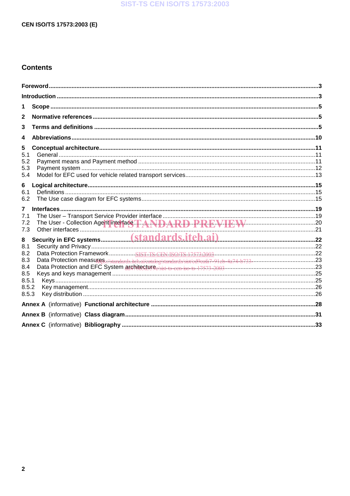# **SIST-TS CEN ISO/TS 17573:2003**

# CEN ISO/TS 17573:2003 (E)

# **Contents**

| 1                                                                                                          |  |
|------------------------------------------------------------------------------------------------------------|--|
| 2                                                                                                          |  |
| 3                                                                                                          |  |
| 4                                                                                                          |  |
| 5<br>5.1<br>5.2<br>5.3<br>5.4                                                                              |  |
| 6<br>6.1<br>6.2                                                                                            |  |
| $\overline{7}$<br>7.1<br>The User - Collection Agent interface. T.A.N.D.A.R.D.P.R.E.V.I.E.W.<br>7.2<br>7.3 |  |
| 8<br>8.1<br>8.2<br>8.3<br>8.4<br>8.5<br>8.5.1<br>8.5.2<br>8.5.3                                            |  |
|                                                                                                            |  |
|                                                                                                            |  |
|                                                                                                            |  |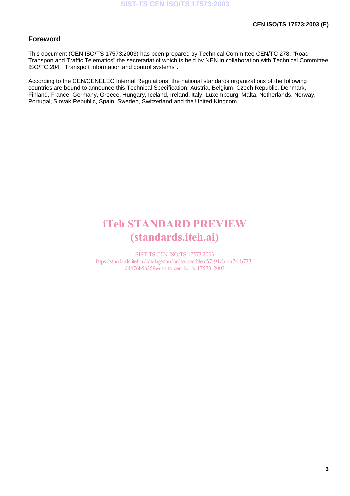# **Foreword**

This document (CEN ISO/TS 17573:2003) has been prepared by Technical Committee CEN/TC 278, "Road Transport and Traffic Telematics" the secretariat of which is held by NEN in collaboration with Technical Committee ISO/TC 204, "Transport information and control systems".

According to the CEN/CENELEC Internal Regulations, the national standards organizations of the following countries are bound to announce this Technical Specification: Austria, Belgium, Czech Republic, Denmark, Finland, France, Germany, Greece, Hungary, Iceland, Ireland, Italy, Luxembourg, Malta, Netherlands, Norway, Portugal, Slovak Republic, Spain, Sweden, Switzerland and the United Kingdom.

# iTeh STANDARD PREVIEW (standards.iteh.ai)

SIST-TS CEN ISO/TS 17573:2003 https://standards.iteh.ai/catalog/standards/sist/cd9eafa7-91cb-4a74-b733 dd476b5a359e/sist-ts-cen-iso-ts-17573-2003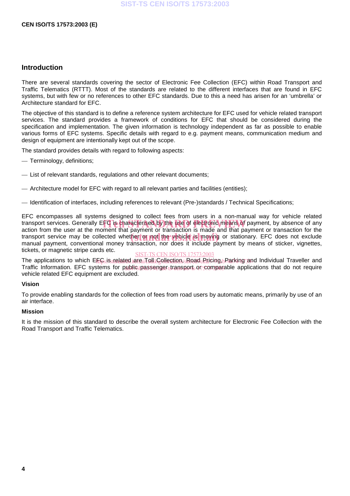## **Introduction**

There are several standards covering the sector of Electronic Fee Collection (EFC) within Road Transport and Traffic Telematics (RTTT). Most of the standards are related to the different interfaces that are found in EFC systems, but with few or no references to other EFC standards. Due to this a need has arisen for an 'umbrella' or Architecture standard for EFC.

The objective of this standard is to define a reference system architecture for EFC used for vehicle related transport services. The standard provides a framework of conditions for EFC that should be considered during the specification and implementation. The given information is technology independent as far as possible to enable various forms of EFC systems. Specific details with regard to e.g. payment means, communication medium and design of equipment are intentionally kept out of the scope.

The standard provides details with regard to following aspects:

- Terminology, definitions;
- List of relevant standards, regulations and other relevant documents;
- Architecture model for EFC with regard to all relevant parties and facilities (entities);
- Identification of interfaces, including references to relevant (Pre-)standards / Technical Specifications;

EFC encompasses all systems designed to collect fees from users in a non-manual way for vehicle related transport services. Generally EFC is characterised by the use of electronic means of payment, by absence of any<br>action from the user at the moment that payment or transaction is made and that payment or transaction for the action from the user at the moment that payment or transaction is made and that payment or transaction for the transport service may be collected whether or not the vehicle is moving or stationary. EFC does not exclude<br>manual payment, conventional money transaction, por does it include payment by means of sticker, vignettes manual payment, conventional money transaction, nor does it include payment by means of sticker, vignettes, tickets, or magnetic stripe cards etc.

SIST-TS CEN ISO/TS 17573:2003

The applications to which El<del>igsistrelated are Toll</del> Gollection, Road Rricing, Darking and Individual Traveller and Traffic Information. EFC systems for public passenger transport or comparable applications that do not require vehicle related EFC equipment are excluded.

#### **Vision**

To provide enabling standards for the collection of fees from road users by automatic means, primarily by use of an air interface.

#### **Mission**

It is the mission of this standard to describe the overall system architecture for Electronic Fee Collection with the Road Transport and Traffic Telematics.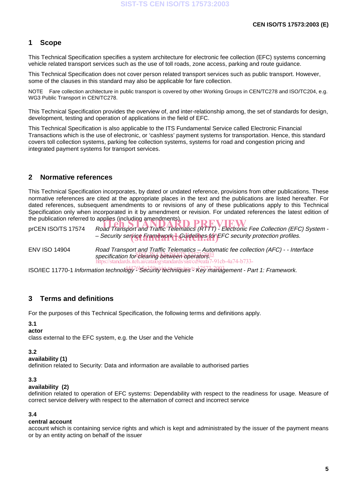# **1 Scope**

This Technical Specification specifies a system architecture for electronic fee collection (EFC) systems concerning vehicle related transport services such as the use of toll roads, zone access, parking and route guidance.

This Technical Specification does not cover person related transport services such as public transport. However, some of the clauses in this standard may also be applicable for fare collection.

NOTE Fare collection architecture in public transport is covered by other Working Groups in CEN/TC278 and ISO/TC204, e.g. WG3 Public Transport in CEN/TC278.

This Technical Specification provides the overview of, and inter-relationship among, the set of standards for design, development, testing and operation of applications in the field of EFC.

This Technical Specification is also applicable to the ITS Fundamental Service called Electronic Financial Transactions which is the use of electronic, or 'cashless' payment systems for transportation. Hence, this standard covers toll collection systems, parking fee collection systems, systems for road and congestion pricing and integrated payment systems for transport services.

# **2 Normative references**

This Technical Specification incorporates, by dated or undated reference, provisions from other publications. These normative references are cited at the appropriate places in the text and the publications are listed hereafter. For dated references, subsequent amendments to or revisions of any of these publications apply to this Technical Specification only when incorporated in it by amendment or revision. For undated references the latest edition of the publication referred to applies (including amendments).

the publication referred to applies (including amendments).<br>prCEN ISO/TS 17574 Road Transport and Traffic Telematics (RTTT) - Electronic Fee Collection (EFC) System -- Security service Framework | Guidelines for FFC security protection profiles.

ENV ISO 14904 Road Transport and Traffic Telematics – Automatic fee collection (AFC) - - Interface specification for clearing between operators. https://standards.iteh.ai/catalog/standards/sist/cd9eafa7-91cb-4a74-b733-

ISO/IEC 11770-1 Information technology<sup>76</sup>Security techniques <sup>ts-</sup>Key mahagement - Part 1: Framework.

# **3 Terms and definitions**

For the purposes of this Technical Specification, the following terms and definitions apply.

# **3.1**

#### **actor**

class external to the EFC system, e.g. the User and the Vehicle

# **3.2**

#### **availability (1)**

definition related to Security: Data and information are available to authorised parties

# **3.3**

#### **availability (2)**

definition related to operation of EFC systems: Dependability with respect to the readiness for usage. Measure of correct service delivery with respect to the alternation of correct and incorrect service

# **3.4**

#### **central account**

account which is containing service rights and which is kept and administrated by the issuer of the payment means or by an entity acting on behalf of the issuer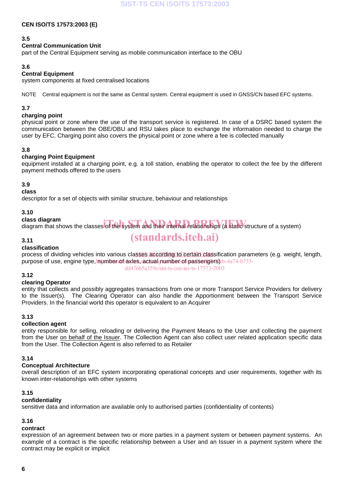#### **3.5**

# **Central Communication Unit**

part of the Central Equipment serving as mobile communication interface to the OBU

## **3.6**

#### **Central Equipment**

system components at fixed centralised locations

NOTE Central equipment is not the same as Central system. Central equipment is used in GNSS/CN based EFC systems.

## **3.7**

## **charging point**

physical point or zone where the use of the transport service is registered. In case of a DSRC based system the communication between the OBE/OBU and RSU takes place to exchange the information needed to charge the user by EFC. Charging point also covers the physical point or zone where a fee is collected manually

# **3.8**

#### **charging Point Equipment**

equipment installed at a charging point, e.g. a toll station, enabling the operator to collect the fee by the different payment methods offered to the users

#### **3.9**

**class**

descriptor for a set of objects with similar structure, behaviour and relationships

#### **3.10**

# **class diagram**

class diagram<br>diagram that shows the classes of the system and their internal relationships (a static structure of a system)

#### **3.11**

## **classification**

process of dividing vehicles into various classes according to certain classification parameters (e.g. weight, length, purpose of use, engine type, mumben of axles, actual number of passengers) cb-4a74-b733-

dd476b5a359e/sist-ts-cen-iso-ts-17573-2003

(standards.iteh.ai)

# **3.12**

# **clearing Operator**

entity that collects and possibly aggregates transactions from one or more Transport Service Providers for delivery to the Issuer(s). The Clearing Operator can also handle the Apportionment between the Transport Service Providers. In the financial world this operator is equivalent to an Acquirer

#### **3.13**

# **collection agent**

entity responsible for selling, reloading or delivering the Payment Means to the User and collecting the payment from the User on behalf of the Issuer. The Collection Agent can also collect user related application specific data from the User. The Collection Agent is also referred to as Retailer

#### **3.14**

# **Conceptual Architecture**

overall description of an EFC system incorporating operational concepts and user requirements, together with its known inter-relationships with other systems

# **3.15**

#### **confidentiality**

sensitive data and information are available only to authorised parties (confidentiality of contents)

# **3.16**

# **contract**

expression of an agreement between two or more parties in a payment system or between payment systems. An example of a contract is the specific relationship between a User and an Issuer in a payment system where the contract may be explicit or implicit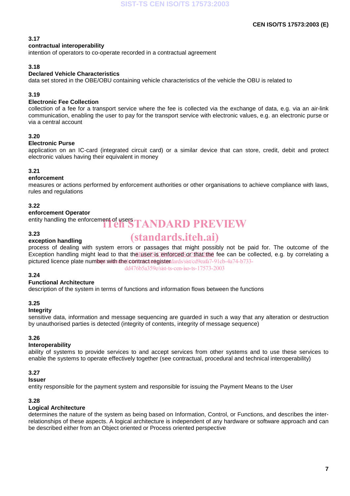# **3.17**

#### **contractual interoperability**

intention of operators to co-operate recorded in a contractual agreement

## **3.18**

# **Declared Vehicle Characteristics**

data set stored in the OBE/OBU containing vehicle characteristics of the vehicle the OBU is related to

# **3.19**

# **Electronic Fee Collection**

collection of a fee for a transport service where the fee is collected via the exchange of data, e.g. via an air-link communication, enabling the user to pay for the transport service with electronic values, e.g. an electronic purse or via a central account

#### **3.20**

#### **Electronic Purse**

application on an IC-card (integrated circuit card) or a similar device that can store, credit, debit and protect electronic values having their equivalent in money

## **3.21**

# **enforcement**

measures or actions performed by enforcement authorities or other organisations to achieve compliance with laws, rules and regulations

#### **3.22**

#### **enforcement Operator**

entity handling the enforcement of users **TANDARD PREVIEW** 

#### **3.23**

# **exception handling**

# (standards.iteh.ai)

process of dealing with system errors or passages that might possibly not be paid for. The outcome of the Exception handling might lead to that the user Sis enforced or that the fee can be collected, e.g. by correlating a pictured licence plate number with the contract register dards/sist/cd9eafa7-91cb-4a74-b733-

dd476b5a359e/sist-ts-cen-iso-ts-17573-2003

# **3.24**

#### **Functional Architecture**

description of the system in terms of functions and information flows between the functions

# **3.25**

#### **Integrity**

sensitive data, information and message sequencing are guarded in such a way that any alteration or destruction by unauthorised parties is detected (integrity of contents, integrity of message sequence)

#### **3.26**

# **Interoperability**

ability of systems to provide services to and accept services from other systems and to use these services to enable the systems to operate effectively together (see contractual, procedural and technical interoperability)

# **3.27**

# **Issuer**

entity responsible for the payment system and responsible for issuing the Payment Means to the User

#### **3.28**

# **Logical Architecture**

determines the nature of the system as being based on Information, Control, or Functions, and describes the interrelationships of these aspects. A logical architecture is independent of any hardware or software approach and can be described either from an Object oriented or Process oriented perspective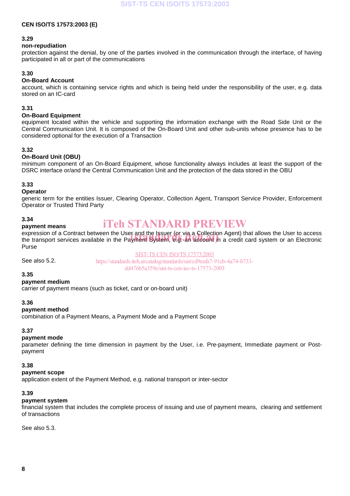#### **3.29**

#### **non-repudiation**

protection against the denial, by one of the parties involved in the communication through the interface, of having participated in all or part of the communications

# **3.30**

## **On-Board Account**

account, which is containing service rights and which is being held under the responsibility of the user, e.g. data stored on an IC-card

#### **3.31**

# **On-Board Equipment**

equipment located within the vehicle and supporting the information exchange with the Road Side Unit or the Central Communication Unit. It is composed of the On-Board Unit and other sub-units whose presence has to be considered optional for the execution of a Transaction

#### **3.32**

# **On-Board Unit (OBU)**

minimum component of an On-Board Equipment, whose functionality always includes at least the support of the DSRC interface or/and the Central Communication Unit and the protection of the data stored in the OBU

# **3.33**

#### **Operator**

generic term for the entities Issuer, Clearing Operator, Collection Agent, Transport Service Provider, Enforcement Operator or Trusted Third Party

#### **3.34**

#### **payment means**

# iTeh STANDARD PREVIEW

expression of a Contract between the User and the Issuer (or via a Collection Agent) that allows the User to access expression of a Contract between the User and the Issuer (or via a Collection Agent) that allows the User to access<br>the transport services available in the Payment System, e.g. an account in a credit card system or an Elec Purse

See also 5.2.

SIST-TS CEN ISO/TS 17573:2003

https://standards.iteh.ai/catalog/standards/sist/cd9eafa7-91cb-4a74-b733 dd476b5a359e/sist-ts-cen-iso-ts-17573-2003

#### **3.35**

# **payment medium**

carrier of payment means (such as ticket, card or on-board unit)

#### **3.36**

#### **payment method**

combination of a Payment Means, a Payment Mode and a Payment Scope

# **3.37**

#### **payment mode**

parameter defining the time dimension in payment by the User, i.e. Pre-payment, Immediate payment or Postpayment

#### **3.38**

#### **payment scope**

application extent of the Payment Method, e.g. national transport or inter-sector

# **3.39**

# **payment system**

financial system that includes the complete process of issuing and use of payment means, clearing and settlement of transactions

See also 5.3.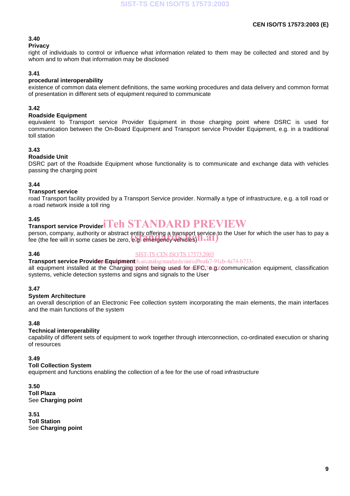# **3.40**

**Privacy**

right of individuals to control or influence what information related to them may be collected and stored and by whom and to whom that information may be disclosed

# **3.41**

## **procedural interoperability**

existence of common data element definitions, the same working procedures and data delivery and common format of presentation in different sets of equipment required to communicate

# **3.42**

#### **Roadside Equipment**

equivalent to Transport service Provider Equipment in those charging point where DSRC is used for communication between the On-Board Equipment and Transport service Provider Equipment, e.g. in a traditional toll station

#### **3.43**

#### **Roadside Unit**

DSRC part of the Roadside Equipment whose functionality is to communicate and exchange data with vehicles passing the charging point

#### **3.44**

#### **Transport service**

road Transport facility provided by a Transport Service provider. Normally a type of infrastructure, e.g. a toll road or a road network inside a toll ring

#### **3.45**

# 3.45<br>Transport service Provider ITeh STANDARD PREVIEW

person, company, authority or abstract entity offering a transport service to the User for which the user has to pay a person, company, authority or abstract entity offering a transport service to<br>fee (the fee will in some cases be zero, e.g. emergency vehicles) **N . 21** )

# **3.46**

SIST-TS CEN ISO/TS 17573:2003

Transport service Providep.Equipmenteh.ai/catalog/standards/sist/cd9eafa7-91cb-4a74-b733-

all equipment installed at the Charging point being used for EFC,7e.g. communication equipment, classification systems, vehicle detection systems and signs and signals to the User

# **3.47**

#### **System Architecture**

an overall description of an Electronic Fee collection system incorporating the main elements, the main interfaces and the main functions of the system

#### **3.48**

#### **Technical interoperability**

capability of different sets of equipment to work together through interconnection, co-ordinated execution or sharing of resources

#### **3.49**

#### **Toll Collection System**

equipment and functions enabling the collection of a fee for the use of road infrastructure

#### **3.50 Toll Plaza** See **Charging point**

**3.51 Toll Station** See **Charging point**